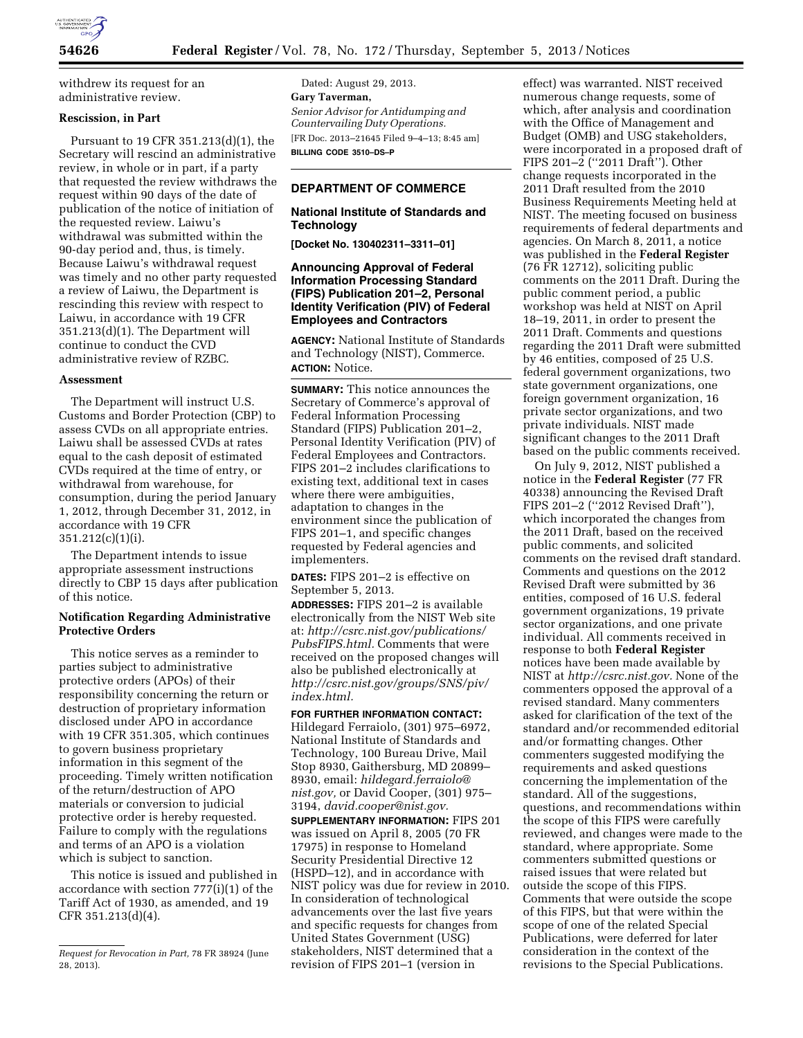

withdrew its request for an administrative review.

## **Rescission, in Part**

Pursuant to 19 CFR 351.213(d)(1), the Secretary will rescind an administrative review, in whole or in part, if a party that requested the review withdraws the request within 90 days of the date of publication of the notice of initiation of the requested review. Laiwu's withdrawal was submitted within the 90-day period and, thus, is timely. Because Laiwu's withdrawal request was timely and no other party requested a review of Laiwu, the Department is rescinding this review with respect to Laiwu, in accordance with 19 CFR 351.213(d)(1). The Department will continue to conduct the CVD administrative review of RZBC.

## **Assessment**

The Department will instruct U.S. Customs and Border Protection (CBP) to assess CVDs on all appropriate entries. Laiwu shall be assessed CVDs at rates equal to the cash deposit of estimated CVDs required at the time of entry, or withdrawal from warehouse, for consumption, during the period January 1, 2012, through December 31, 2012, in accordance with 19 CFR 351.212(c)(1)(i).

The Department intends to issue appropriate assessment instructions directly to CBP 15 days after publication of this notice.

# **Notification Regarding Administrative Protective Orders**

This notice serves as a reminder to parties subject to administrative protective orders (APOs) of their responsibility concerning the return or destruction of proprietary information disclosed under APO in accordance with 19 CFR 351.305, which continues to govern business proprietary information in this segment of the proceeding. Timely written notification of the return/destruction of APO materials or conversion to judicial protective order is hereby requested. Failure to comply with the regulations and terms of an APO is a violation which is subject to sanction.

This notice is issued and published in accordance with section 777(i)(1) of the Tariff Act of 1930, as amended, and 19 CFR 351.213(d)(4).

Dated: August 29, 2013. **Gary Taverman,**  *Senior Advisor for Antidumping and Countervailing Duty Operations.*  [FR Doc. 2013–21645 Filed 9–4–13; 8:45 am] **BILLING CODE 3510–DS–P** 

### **DEPARTMENT OF COMMERCE**

### **National Institute of Standards and Technology**

**[Docket No. 130402311–3311–01]** 

## **Announcing Approval of Federal Information Processing Standard (FIPS) Publication 201–2, Personal Identity Verification (PIV) of Federal Employees and Contractors**

**AGENCY:** National Institute of Standards and Technology (NIST), Commerce. **ACTION:** Notice.

**SUMMARY:** This notice announces the Secretary of Commerce's approval of Federal Information Processing Standard (FIPS) Publication 201–2, Personal Identity Verification (PIV) of Federal Employees and Contractors. FIPS 201–2 includes clarifications to existing text, additional text in cases where there were ambiguities, adaptation to changes in the environment since the publication of FIPS 201–1, and specific changes requested by Federal agencies and implementers.

**DATES:** FIPS 201–2 is effective on September 5, 2013.

**ADDRESSES:** FIPS 201–2 is available electronically from the NIST Web site at: *[http://csrc.nist.gov/publications/](http://csrc.nist.gov/publications/PubsFIPS.html) [PubsFIPS.html.](http://csrc.nist.gov/publications/PubsFIPS.html)* Comments that were received on the proposed changes will also be published electronically at *[http://csrc.nist.gov/groups/SNS/piv/](http://csrc.nist.gov/groups/SNS/piv/index.html) [index.html.](http://csrc.nist.gov/groups/SNS/piv/index.html)* 

**FOR FURTHER INFORMATION CONTACT:**  Hildegard Ferraiolo, (301) 975–6972, National Institute of Standards and Technology, 100 Bureau Drive, Mail Stop 8930, Gaithersburg, MD 20899– 8930, email: *[hildegard.ferraiolo@](mailto:hildegard.ferraiolo@nist.gov) [nist.gov,](mailto:hildegard.ferraiolo@nist.gov)* or David Cooper, (301) 975– 3194, *[david.cooper@nist.gov.](mailto:david.cooper@nist.gov)* 

**SUPPLEMENTARY INFORMATION:** FIPS 201 was issued on April 8, 2005 (70 FR 17975) in response to Homeland Security Presidential Directive 12 (HSPD–12), and in accordance with NIST policy was due for review in 2010. In consideration of technological advancements over the last five years and specific requests for changes from United States Government (USG) stakeholders, NIST determined that a revision of FIPS 201–1 (version in

effect) was warranted. NIST received numerous change requests, some of which, after analysis and coordination with the Office of Management and Budget (OMB) and USG stakeholders, were incorporated in a proposed draft of FIPS 201–2 (''2011 Draft''). Other change requests incorporated in the 2011 Draft resulted from the 2010 Business Requirements Meeting held at NIST. The meeting focused on business requirements of federal departments and agencies. On March 8, 2011, a notice was published in the **Federal Register**  (76 FR 12712), soliciting public comments on the 2011 Draft. During the public comment period, a public workshop was held at NIST on April 18–19, 2011, in order to present the 2011 Draft. Comments and questions regarding the 2011 Draft were submitted by 46 entities, composed of 25 U.S. federal government organizations, two state government organizations, one foreign government organization, 16 private sector organizations, and two private individuals. NIST made significant changes to the 2011 Draft based on the public comments received.

On July 9, 2012, NIST published a notice in the **Federal Register** (77 FR 40338) announcing the Revised Draft FIPS 201–2 (''2012 Revised Draft''), which incorporated the changes from the 2011 Draft, based on the received public comments, and solicited comments on the revised draft standard. Comments and questions on the 2012 Revised Draft were submitted by 36 entities, composed of 16 U.S. federal government organizations, 19 private sector organizations, and one private individual. All comments received in response to both **Federal Register**  notices have been made available by NIST at *[http://csrc.nist.gov.](http://csrc.nist.gov)* None of the commenters opposed the approval of a revised standard. Many commenters asked for clarification of the text of the standard and/or recommended editorial and/or formatting changes. Other commenters suggested modifying the requirements and asked questions concerning the implementation of the standard. All of the suggestions, questions, and recommendations within the scope of this FIPS were carefully reviewed, and changes were made to the standard, where appropriate. Some commenters submitted questions or raised issues that were related but outside the scope of this FIPS. Comments that were outside the scope of this FIPS, but that were within the scope of one of the related Special Publications, were deferred for later consideration in the context of the revisions to the Special Publications.

*Request for Revocation in Part,* 78 FR 38924 (June 28, 2013).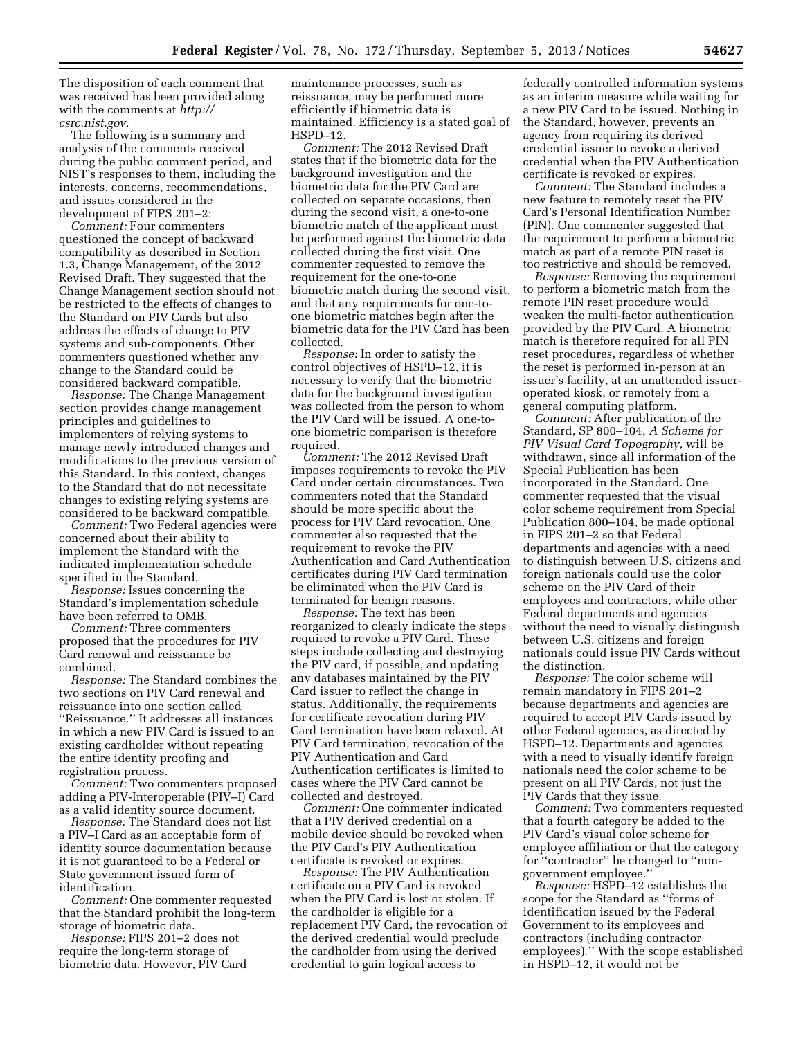The disposition of each comment that was received has been provided along with the comments at *[http://](http://csrc.nist.gov) [csrc.nist.gov.](http://csrc.nist.gov)* 

The following is a summary and analysis of the comments received during the public comment period, and NIST's responses to them, including the interests, concerns, recommendations, and issues considered in the development of FIPS 201–2:

*Comment:* Four commenters questioned the concept of backward compatibility as described in Section 1.3, Change Management, of the 2012 Revised Draft. They suggested that the Change Management section should not be restricted to the effects of changes to the Standard on PIV Cards but also address the effects of change to PIV systems and sub-components. Other commenters questioned whether any change to the Standard could be considered backward compatible.

*Response:* The Change Management section provides change management principles and guidelines to implementers of relying systems to manage newly introduced changes and modifications to the previous version of this Standard. In this context, changes to the Standard that do not necessitate changes to existing relying systems are considered to be backward compatible.

*Comment:* Two Federal agencies were concerned about their ability to implement the Standard with the indicated implementation schedule specified in the Standard.

*Response:* Issues concerning the Standard's implementation schedule have been referred to OMB.

*Comment:* Three commenters proposed that the procedures for PIV Card renewal and reissuance be combined.

*Response:* The Standard combines the two sections on PIV Card renewal and reissuance into one section called ''Reissuance.'' It addresses all instances in which a new PIV Card is issued to an existing cardholder without repeating the entire identity proofing and registration process.

*Comment:* Two commenters proposed adding a PIV-Interoperable (PIV–I) Card as a valid identity source document.

*Response:* The Standard does not list a PIV–I Card as an acceptable form of identity source documentation because it is not guaranteed to be a Federal or State government issued form of identification.

*Comment:* One commenter requested that the Standard prohibit the long-term storage of biometric data.

*Response:* FIPS 201–2 does not require the long-term storage of biometric data. However, PIV Card maintenance processes, such as reissuance, may be performed more efficiently if biometric data is maintained. Efficiency is a stated goal of HSPD–12.

*Comment:* The 2012 Revised Draft states that if the biometric data for the background investigation and the biometric data for the PIV Card are collected on separate occasions, then during the second visit, a one-to-one biometric match of the applicant must be performed against the biometric data collected during the first visit. One commenter requested to remove the requirement for the one-to-one biometric match during the second visit, and that any requirements for one-toone biometric matches begin after the biometric data for the PIV Card has been collected.

*Response:* In order to satisfy the control objectives of HSPD–12, it is necessary to verify that the biometric data for the background investigation was collected from the person to whom the PIV Card will be issued. A one-toone biometric comparison is therefore required.

*Comment:* The 2012 Revised Draft imposes requirements to revoke the PIV Card under certain circumstances. Two commenters noted that the Standard should be more specific about the process for PIV Card revocation. One commenter also requested that the requirement to revoke the PIV Authentication and Card Authentication certificates during PIV Card termination be eliminated when the PIV Card is terminated for benign reasons.

*Response:* The text has been reorganized to clearly indicate the steps required to revoke a PIV Card. These steps include collecting and destroying the PIV card, if possible, and updating any databases maintained by the PIV Card issuer to reflect the change in status. Additionally, the requirements for certificate revocation during PIV Card termination have been relaxed. At PIV Card termination, revocation of the PIV Authentication and Card Authentication certificates is limited to cases where the PIV Card cannot be collected and destroyed.

*Comment:* One commenter indicated that a PIV derived credential on a mobile device should be revoked when the PIV Card's PIV Authentication certificate is revoked or expires.

*Response:* The PIV Authentication certificate on a PIV Card is revoked when the PIV Card is lost or stolen. If the cardholder is eligible for a replacement PIV Card, the revocation of the derived credential would preclude the cardholder from using the derived credential to gain logical access to

federally controlled information systems as an interim measure while waiting for a new PIV Card to be issued. Nothing in the Standard, however, prevents an agency from requiring its derived credential issuer to revoke a derived credential when the PIV Authentication certificate is revoked or expires.

*Comment:* The Standard includes a new feature to remotely reset the PIV Card's Personal Identification Number (PIN). One commenter suggested that the requirement to perform a biometric match as part of a remote PIN reset is too restrictive and should be removed.

*Response:* Removing the requirement to perform a biometric match from the remote PIN reset procedure would weaken the multi-factor authentication provided by the PIV Card. A biometric match is therefore required for all PIN reset procedures, regardless of whether the reset is performed in-person at an issuer's facility, at an unattended issueroperated kiosk, or remotely from a general computing platform.

*Comment:* After publication of the Standard, SP 800–104, *A Scheme for PIV Visual Card Topography,* will be withdrawn, since all information of the Special Publication has been incorporated in the Standard. One commenter requested that the visual color scheme requirement from Special Publication 800–104, be made optional in FIPS 201–2 so that Federal departments and agencies with a need to distinguish between U.S. citizens and foreign nationals could use the color scheme on the PIV Card of their employees and contractors, while other Federal departments and agencies without the need to visually distinguish between U.S. citizens and foreign nationals could issue PIV Cards without the distinction.

*Response:* The color scheme will remain mandatory in FIPS 201–2 because departments and agencies are required to accept PIV Cards issued by other Federal agencies, as directed by HSPD–12. Departments and agencies with a need to visually identify foreign nationals need the color scheme to be present on all PIV Cards, not just the PIV Cards that they issue.

*Comment:* Two commenters requested that a fourth category be added to the PIV Card's visual color scheme for employee affiliation or that the category for ''contractor'' be changed to ''nongovernment employee.''

*Response:* HSPD–12 establishes the scope for the Standard as ''forms of identification issued by the Federal Government to its employees and contractors (including contractor employees).'' With the scope established in HSPD–12, it would not be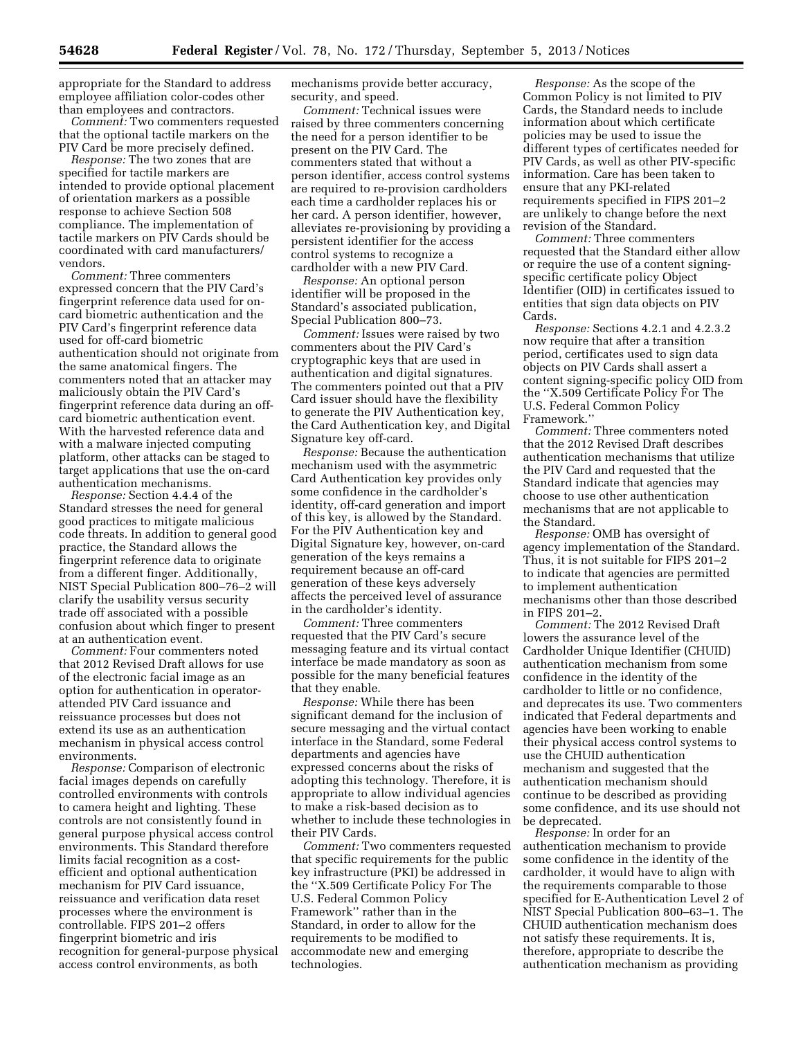appropriate for the Standard to address employee affiliation color-codes other than employees and contractors.

*Comment:* Two commenters requested that the optional tactile markers on the PIV Card be more precisely defined.

*Response:* The two zones that are specified for tactile markers are intended to provide optional placement of orientation markers as a possible response to achieve Section 508 compliance. The implementation of tactile markers on PIV Cards should be coordinated with card manufacturers/ vendors.

*Comment:* Three commenters expressed concern that the PIV Card's fingerprint reference data used for oncard biometric authentication and the PIV Card's fingerprint reference data used for off-card biometric authentication should not originate from the same anatomical fingers. The commenters noted that an attacker may maliciously obtain the PIV Card's fingerprint reference data during an offcard biometric authentication event. With the harvested reference data and with a malware injected computing platform, other attacks can be staged to target applications that use the on-card authentication mechanisms.

*Response:* Section 4.4.4 of the Standard stresses the need for general good practices to mitigate malicious code threats. In addition to general good practice, the Standard allows the fingerprint reference data to originate from a different finger. Additionally, NIST Special Publication 800–76–2 will clarify the usability versus security trade off associated with a possible confusion about which finger to present at an authentication event.

*Comment:* Four commenters noted that 2012 Revised Draft allows for use of the electronic facial image as an option for authentication in operatorattended PIV Card issuance and reissuance processes but does not extend its use as an authentication mechanism in physical access control environments.

*Response:* Comparison of electronic facial images depends on carefully controlled environments with controls to camera height and lighting. These controls are not consistently found in general purpose physical access control environments. This Standard therefore limits facial recognition as a costefficient and optional authentication mechanism for PIV Card issuance, reissuance and verification data reset processes where the environment is controllable. FIPS 201–2 offers fingerprint biometric and iris recognition for general-purpose physical access control environments, as both

mechanisms provide better accuracy, security, and speed.

*Comment:* Technical issues were raised by three commenters concerning the need for a person identifier to be present on the PIV Card. The commenters stated that without a person identifier, access control systems are required to re-provision cardholders each time a cardholder replaces his or her card. A person identifier, however, alleviates re-provisioning by providing a persistent identifier for the access control systems to recognize a cardholder with a new PIV Card.

*Response:* An optional person identifier will be proposed in the Standard's associated publication, Special Publication 800–73.

*Comment:* Issues were raised by two commenters about the PIV Card's cryptographic keys that are used in authentication and digital signatures. The commenters pointed out that a PIV Card issuer should have the flexibility to generate the PIV Authentication key, the Card Authentication key, and Digital Signature key off-card.

*Response:* Because the authentication mechanism used with the asymmetric Card Authentication key provides only some confidence in the cardholder's identity, off-card generation and import of this key, is allowed by the Standard. For the PIV Authentication key and Digital Signature key, however, on-card generation of the keys remains a requirement because an off-card generation of these keys adversely affects the perceived level of assurance in the cardholder's identity.

*Comment:* Three commenters requested that the PIV Card's secure messaging feature and its virtual contact interface be made mandatory as soon as possible for the many beneficial features that they enable.

*Response:* While there has been significant demand for the inclusion of secure messaging and the virtual contact interface in the Standard, some Federal departments and agencies have expressed concerns about the risks of adopting this technology. Therefore, it is appropriate to allow individual agencies to make a risk-based decision as to whether to include these technologies in their PIV Cards.

*Comment:* Two commenters requested that specific requirements for the public key infrastructure (PKI) be addressed in the ''X.509 Certificate Policy For The U.S. Federal Common Policy Framework'' rather than in the Standard, in order to allow for the requirements to be modified to accommodate new and emerging technologies.

*Response:* As the scope of the Common Policy is not limited to PIV Cards, the Standard needs to include information about which certificate policies may be used to issue the different types of certificates needed for PIV Cards, as well as other PIV-specific information. Care has been taken to ensure that any PKI-related requirements specified in FIPS 201–2 are unlikely to change before the next revision of the Standard.

*Comment:* Three commenters requested that the Standard either allow or require the use of a content signingspecific certificate policy Object Identifier (OID) in certificates issued to entities that sign data objects on PIV Cards.

*Response:* Sections 4.2.1 and 4.2.3.2 now require that after a transition period, certificates used to sign data objects on PIV Cards shall assert a content signing-specific policy OID from the ''X.509 Certificate Policy For The U.S. Federal Common Policy Framework.''

*Comment:* Three commenters noted that the 2012 Revised Draft describes authentication mechanisms that utilize the PIV Card and requested that the Standard indicate that agencies may choose to use other authentication mechanisms that are not applicable to the Standard.

*Response:* OMB has oversight of agency implementation of the Standard. Thus, it is not suitable for FIPS 201–2 to indicate that agencies are permitted to implement authentication mechanisms other than those described in FIPS 201–2.

*Comment:* The 2012 Revised Draft lowers the assurance level of the Cardholder Unique Identifier (CHUID) authentication mechanism from some confidence in the identity of the cardholder to little or no confidence, and deprecates its use. Two commenters indicated that Federal departments and agencies have been working to enable their physical access control systems to use the CHUID authentication mechanism and suggested that the authentication mechanism should continue to be described as providing some confidence, and its use should not be deprecated.

*Response:* In order for an authentication mechanism to provide some confidence in the identity of the cardholder, it would have to align with the requirements comparable to those specified for E-Authentication Level 2 of NIST Special Publication 800–63–1. The CHUID authentication mechanism does not satisfy these requirements. It is, therefore, appropriate to describe the authentication mechanism as providing